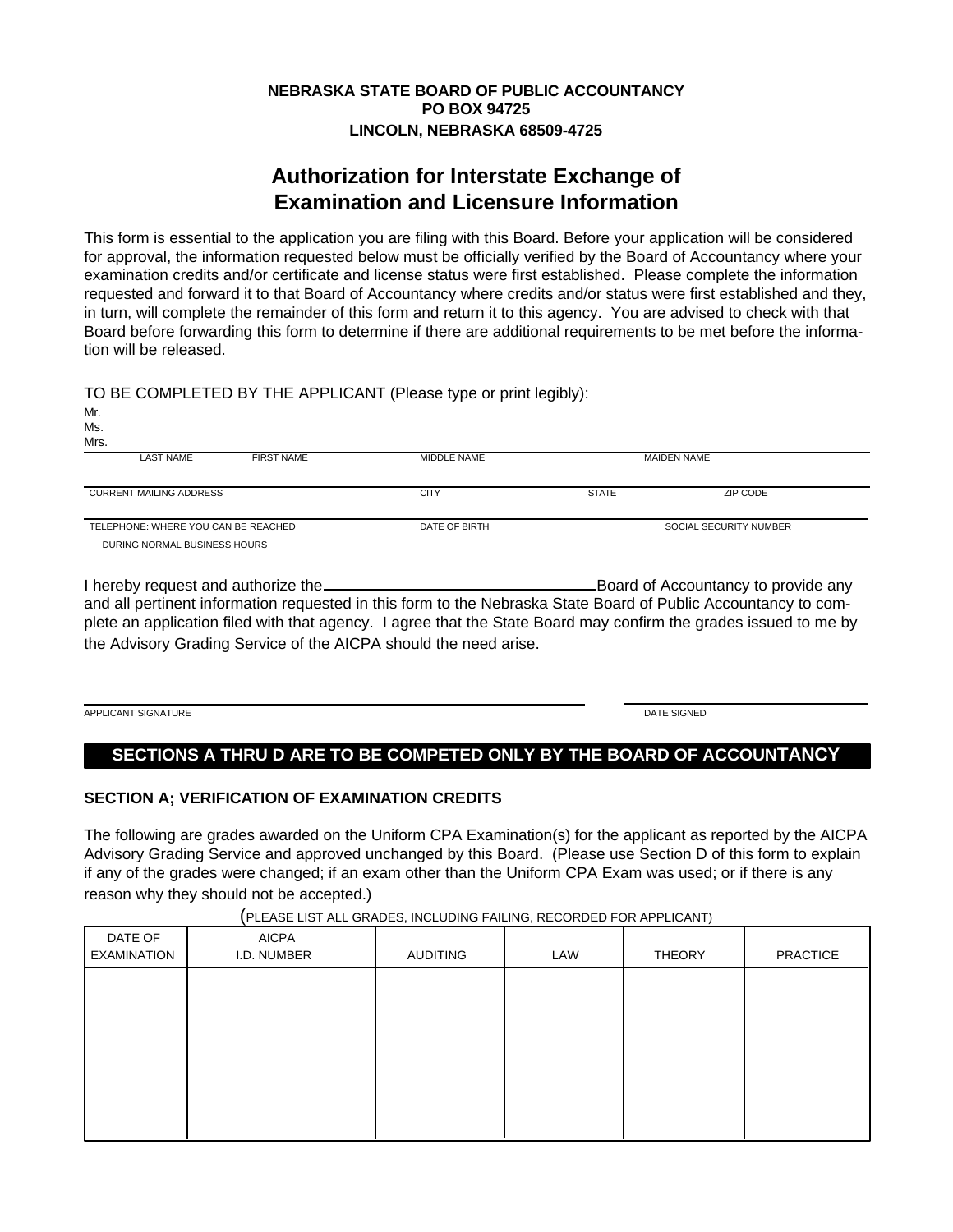## **NEBRASKA STATE BOARD OF PUBLIC ACCOUNTANCY PO BOX 94725 LINCOLN, NEBRASKA 68509-4725**

# **Authorization for Interstate Exchange of Examination and Licensure Information**

This form is essential to the application you are filing with this Board. Before your application will be considered for approval, the information requested below must be officially verified by the Board of Accountancy where your examination credits and/or certificate and license status were first established. Please complete the information requested and forward it to that Board of Accountancy where credits and/or status were first established and they, in turn, will complete the remainder of this form and return it to this agency. You are advised to check with that Board before forwarding this form to determine if there are additional requirements to be met before the information will be released.

TO BE COMPLETED BY THE APPLICANT (Please type or print legibly):

| Mr.<br>Ms.<br>Mrs.                  |                   |               |                        |                    |  |
|-------------------------------------|-------------------|---------------|------------------------|--------------------|--|
| <b>LAST NAME</b>                    | <b>FIRST NAME</b> | MIDDLE NAME   |                        | <b>MAIDEN NAME</b> |  |
| <b>CURRENT MAILING ADDRESS</b>      |                   | <b>CITY</b>   | <b>STATE</b>           | ZIP CODE           |  |
| TELEPHONE: WHERE YOU CAN BE REACHED |                   | DATE OF BIRTH | SOCIAL SECURITY NUMBER |                    |  |
| DURING NORMAL BUSINESS HOURS        |                   |               |                        |                    |  |

I hereby request and authorize the <u>Equation Board of Accountancy</u> to provide any and all pertinent information requested in this form to the Nebraska State Board of Public Accountancy to complete an application filed with that agency. I agree that the State Board may confirm the grades issued to me by the Advisory Grading Service of the AICPA should the need arise.

APPLICANT SIGNATURE DATE SIGNED AND A CONSIDER THE SIGNED AND A CONSIDER THE SIGNED AND A CONSIDER THE SIGNED

## **SECTIONS A THRU D ARE TO BE COMPETED ONLY BY THE BOARD OF ACCOUNTANCY**

## **SECTION A; VERIFICATION OF EXAMINATION CREDITS**

The following are grades awarded on the Uniform CPA Examination(s) for the applicant as reported by the AICPA Advisory Grading Service and approved unchanged by this Board. (Please use Section D of this form to explain if any of the grades were changed; if an exam other than the Uniform CPA Exam was used; or if there is any reason why they should not be accepted.)

|                             | $\overline{\phantom{a}}$ | $\overline{\phantom{a}}$ | $\overline{\phantom{a}}$ |                 |
|-----------------------------|--------------------------|--------------------------|--------------------------|-----------------|
| <b>AICPA</b><br>I.D. NUMBER | AUDITING                 | LAW                      | <b>THEORY</b>            | <b>PRACTICE</b> |
|                             |                          |                          |                          |                 |
|                             |                          |                          |                          |                 |
|                             |                          |                          |                          |                 |
|                             |                          |                          |                          |                 |
|                             |                          |                          |                          |                 |
|                             |                          |                          |                          |                 |

(PLEASE LIST ALL GRADES, INCLUDING FAILING, RECORDED FOR APPLICANT)